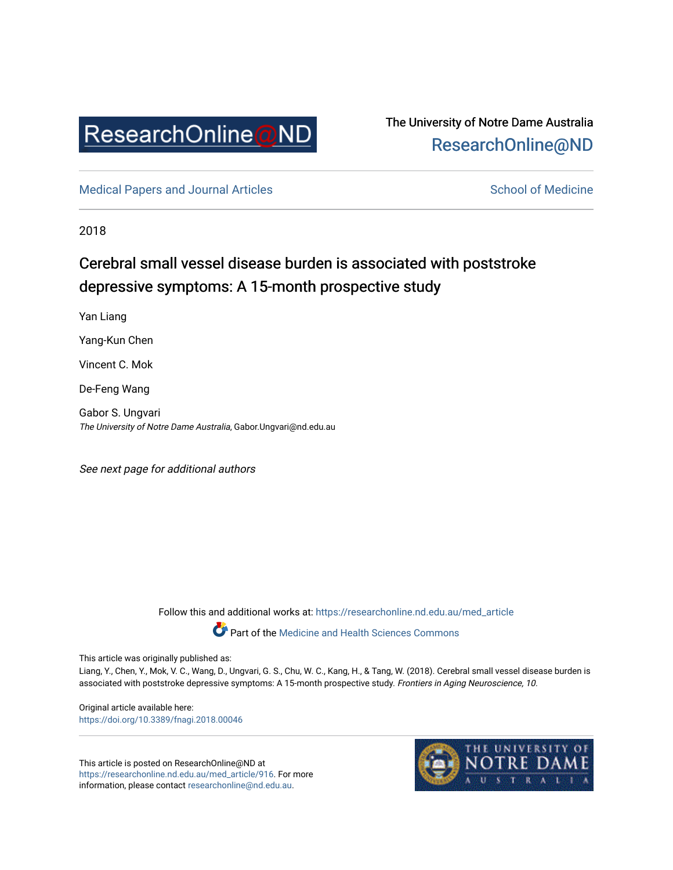

## The University of Notre Dame Australia [ResearchOnline@ND](https://researchonline.nd.edu.au/)

[Medical Papers and Journal Articles](https://researchonline.nd.edu.au/med_article) and School of Medicine

2018

# Cerebral small vessel disease burden is associated with poststroke depressive symptoms: A 15-month prospective study

Yan Liang

Yang-Kun Chen

Vincent C. Mok

De-Feng Wang

Gabor S. Ungvari The University of Notre Dame Australia, Gabor.Ungvari@nd.edu.au

See next page for additional authors

Follow this and additional works at: [https://researchonline.nd.edu.au/med\\_article](https://researchonline.nd.edu.au/med_article?utm_source=researchonline.nd.edu.au%2Fmed_article%2F916&utm_medium=PDF&utm_campaign=PDFCoverPages) 

Part of the [Medicine and Health Sciences Commons](http://network.bepress.com/hgg/discipline/648?utm_source=researchonline.nd.edu.au%2Fmed_article%2F916&utm_medium=PDF&utm_campaign=PDFCoverPages)

This article was originally published as:

Liang, Y., Chen, Y., Mok, V. C., Wang, D., Ungvari, G. S., Chu, W. C., Kang, H., & Tang, W. (2018). Cerebral small vessel disease burden is associated with poststroke depressive symptoms: A 15-month prospective study. Frontiers in Aging Neuroscience, 10.

Original article available here: <https://doi.org/10.3389/fnagi.2018.00046>

This article is posted on ResearchOnline@ND at [https://researchonline.nd.edu.au/med\\_article/916](https://researchonline.nd.edu.au/med_article/916). For more information, please contact [researchonline@nd.edu.au.](mailto:researchonline@nd.edu.au)

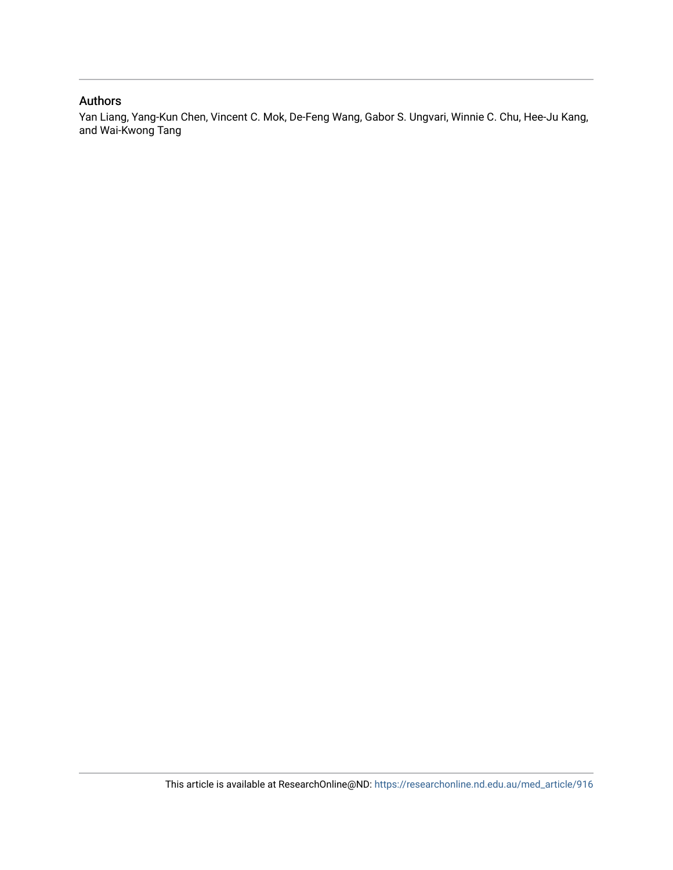#### Authors

Yan Liang, Yang-Kun Chen, Vincent C. Mok, De-Feng Wang, Gabor S. Ungvari, Winnie C. Chu, Hee-Ju Kang, and Wai-Kwong Tang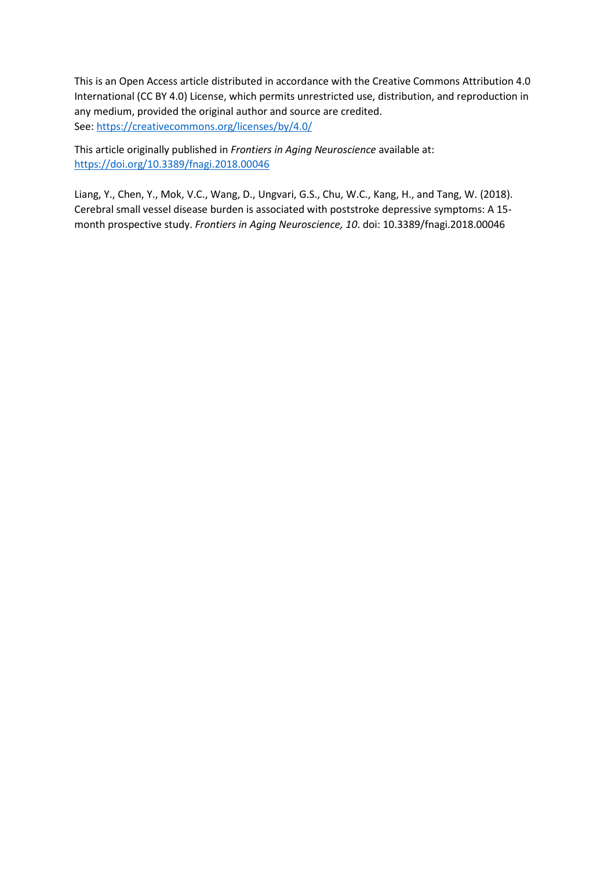This is an Open Access article distributed in accordance with the Creative Commons Attribution 4.0 International (CC BY 4.0) License, which permits unrestricted use, distribution, and reproduction in any medium, provided the original author and source are credited. See[: https://creativecommons.org/licenses/by/4.0/](https://creativecommons.org/licenses/by/4.0/)

This article originally published in *Frontiers in Aging Neuroscience* available at: <https://doi.org/10.3389/fnagi.2018.00046>

Liang, Y., Chen, Y., Mok, V.C., Wang, D., Ungvari, G.S., Chu, W.C., Kang, H., and Tang, W. (2018). Cerebral small vessel disease burden is associated with poststroke depressive symptoms: A 15 month prospective study. *Frontiers in Aging Neuroscience, 10*. doi: 10.3389/fnagi.2018.00046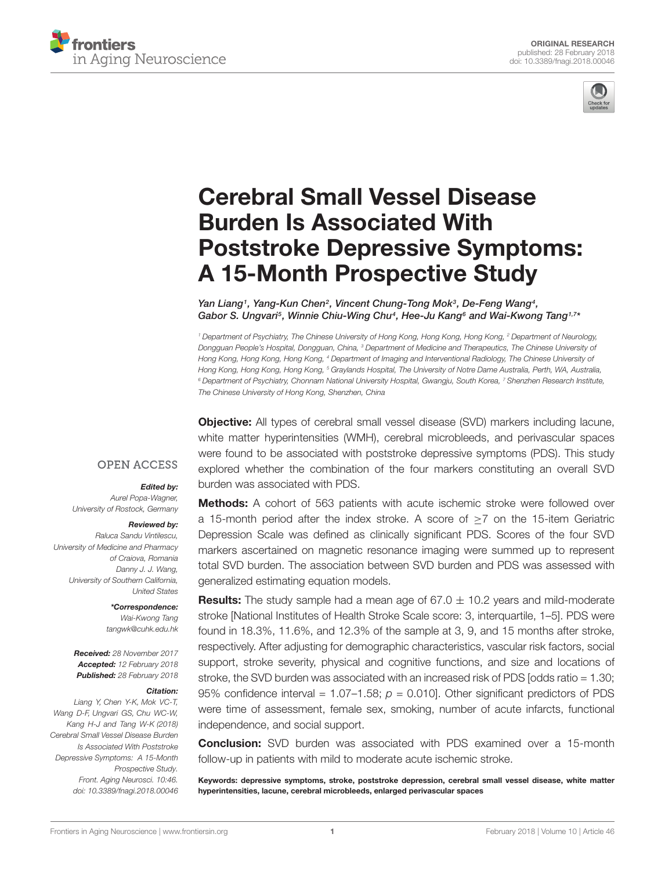



# Cerebral Small Vessel Disease Burden Is Associated With [Poststroke Depressive Symptoms:](https://www.frontiersin.org/articles/10.3389/fnagi.2018.00046/full) A 15-Month Prospective Study

[Yan Liang](http://loop.frontiersin.org/people/452405/overview)<sup>1</sup>, Yang-Kun Chen<sup>2</sup>, [Vincent Chung-Tong Mok](http://loop.frontiersin.org/people/156499/overview)<sup>3</sup>, [De-Feng Wang](http://loop.frontiersin.org/people/311078/overview)<sup>4</sup>, Gabor S. Ungvari<sup>s</sup>, Winnie Chiu-Wing Chu<sup>4</sup>, Hee-Ju Kang<sup>6</sup> and [Wai-Kwong Tang](http://loop.frontiersin.org/people/125814/overview)<sup>1,7</sup>\*

<sup>1</sup> Department of Psychiatry, The Chinese University of Hong Kong, Hong Kong, Hong Kong, <sup>2</sup> Department of Neurology, Dongguan People's Hospital, Dongguan, China, <sup>3</sup> Department of Medicine and Therapeutics, The Chinese University of Hong Kong, Hong Kong, Hong Kong, <sup>4</sup> Department of Imaging and Interventional Radiology, The Chinese University of Hong Kong, Hong Kong, Hong Kong, <sup>5</sup> Graylands Hospital, The University of Notre Dame Australia, Perth, WA, Australia, <sup>6</sup> Department of Psychiatry, Chonnam National University Hospital, Gwangju, South Korea, <sup>7</sup> Shenzhen Research Institute, The Chinese University of Hong Kong, Shenzhen, China

Objective: All types of cerebral small vessel disease (SVD) markers including lacune, white matter hyperintensities (WMH), cerebral microbleeds, and perivascular spaces were found to be associated with poststroke depressive symptoms (PDS). This study explored whether the combination of the four markers constituting an overall SVD burden was associated with PDS.

#### **OPEN ACCESS**

#### Edited by:

Aurel Popa-Wagner, University of Rostock, Germany

#### Reviewed by:

Raluca Sandu Vintilescu, University of Medicine and Pharmacy of Craiova, Romania Danny J. J. Wang, University of Southern California, United States

> \*Correspondence: Wai-Kwong Tang tangwk@cuhk.edu.hk

Received: 28 November 2017 Accepted: 12 February 2018 Published: 28 February 2018

#### Citation:

Liang Y, Chen Y-K, Mok VC-T, Wang D-F, Ungvari GS, Chu WC-W, Kang H-J and Tang W-K (2018) Cerebral Small Vessel Disease Burden Is Associated With Poststroke Depressive Symptoms: A 15-Month Prospective Study. Front. Aging Neurosci. 10:46. doi: [10.3389/fnagi.2018.00046](https://doi.org/10.3389/fnagi.2018.00046)

**Methods:** A cohort of 563 patients with acute ischemic stroke were followed over a 15-month period after the index stroke. A score of ≥7 on the 15-item Geriatric Depression Scale was defined as clinically significant PDS. Scores of the four SVD markers ascertained on magnetic resonance imaging were summed up to represent total SVD burden. The association between SVD burden and PDS was assessed with generalized estimating equation models.

**Results:** The study sample had a mean age of  $67.0 \pm 10.2$  years and mild-moderate stroke [National Institutes of Health Stroke Scale score: 3, interquartile, 1–5]. PDS were found in 18.3%, 11.6%, and 12.3% of the sample at 3, 9, and 15 months after stroke, respectively. After adjusting for demographic characteristics, vascular risk factors, social support, stroke severity, physical and cognitive functions, and size and locations of stroke, the SVD burden was associated with an increased risk of PDS [odds ratio = 1.30; 95% confidence interval =  $1.07-1.58$ ;  $p = 0.010$ ]. Other significant predictors of PDS were time of assessment, female sex, smoking, number of acute infarcts, functional independence, and social support.

Conclusion: SVD burden was associated with PDS examined over a 15-month follow-up in patients with mild to moderate acute ischemic stroke.

Keywords: depressive symptoms, stroke, poststroke depression, cerebral small vessel disease, white matter hyperintensities, lacune, cerebral microbleeds, enlarged perivascular spaces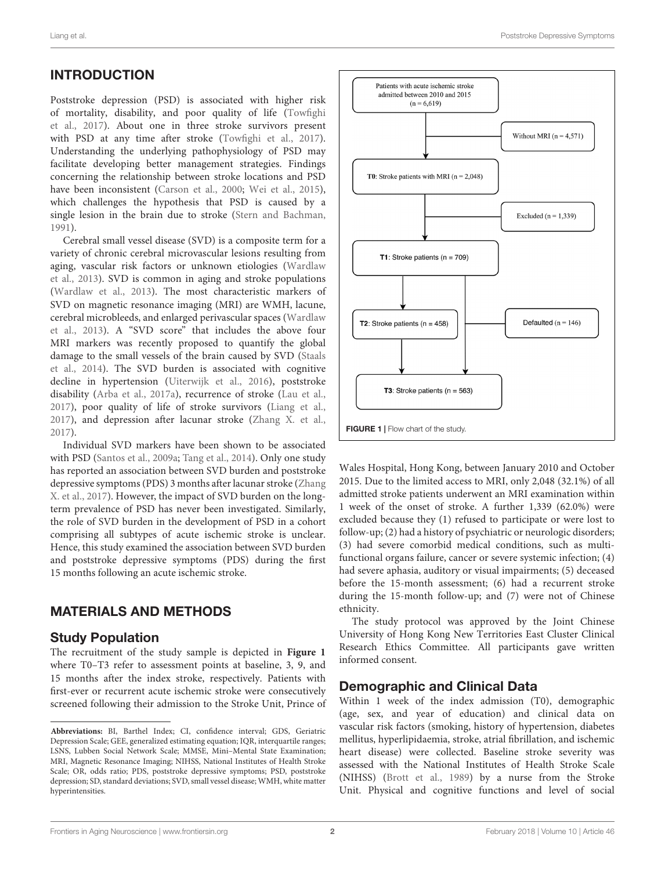## INTRODUCTION

Poststroke depression (PSD) is associated with higher risk of mortality, disability, and poor quality of life [\(Towfighi](#page-9-0) [et al.,](#page-9-0) [2017\)](#page-9-0). About one in three stroke survivors present with PSD at any time after stroke [\(Towfighi et al.,](#page-9-0) [2017\)](#page-9-0). Understanding the underlying pathophysiology of PSD may facilitate developing better management strategies. Findings concerning the relationship between stroke locations and PSD have been inconsistent [\(Carson et al.,](#page-8-0) [2000;](#page-8-0) [Wei et al.,](#page-9-1) [2015\)](#page-9-1), which challenges the hypothesis that PSD is caused by a single lesion in the brain due to stroke [\(Stern and Bachman,](#page-9-2) [1991\)](#page-9-2).

Cerebral small vessel disease (SVD) is a composite term for a variety of chronic cerebral microvascular lesions resulting from aging, vascular risk factors or unknown etiologies [\(Wardlaw](#page-9-3) [et al.,](#page-9-3) [2013\)](#page-9-3). SVD is common in aging and stroke populations [\(Wardlaw et al.,](#page-9-3) [2013\)](#page-9-3). The most characteristic markers of SVD on magnetic resonance imaging (MRI) are WMH, lacune, cerebral microbleeds, and enlarged perivascular spaces [\(Wardlaw](#page-9-3) [et al.,](#page-9-3) [2013\)](#page-9-3). A "SVD score" that includes the above four MRI markers was recently proposed to quantify the global damage to the small vessels of the brain caused by SVD [\(Staals](#page-9-4) [et al.,](#page-9-4) [2014\)](#page-9-4). The SVD burden is associated with cognitive decline in hypertension [\(Uiterwijk et al.,](#page-9-5) [2016\)](#page-9-5), poststroke disability [\(Arba et al.,](#page-8-1) [2017a\)](#page-8-1), recurrence of stroke [\(Lau et al.,](#page-8-2) [2017\)](#page-8-2), poor quality of life of stroke survivors [\(Liang et al.,](#page-8-3) [2017\)](#page-8-3), and depression after lacunar stroke [\(Zhang X. et al.,](#page-9-6) [2017\)](#page-9-6).

Individual SVD markers have been shown to be associated with PSD [\(Santos et al.,](#page-8-4) [2009a;](#page-8-4) [Tang et al.,](#page-9-7) [2014\)](#page-9-7). Only one study has reported an association between SVD burden and poststroke depressive symptoms (PDS) 3 months after lacunar stroke [\(Zhang](#page-9-6) [X. et al.,](#page-9-6) [2017\)](#page-9-6). However, the impact of SVD burden on the longterm prevalence of PSD has never been investigated. Similarly, the role of SVD burden in the development of PSD in a cohort comprising all subtypes of acute ischemic stroke is unclear. Hence, this study examined the association between SVD burden and poststroke depressive symptoms (PDS) during the first 15 months following an acute ischemic stroke.

### MATERIALS AND METHODS

#### Study Population

The recruitment of the study sample is depicted in **[Figure 1](#page-4-0)** where T0–T3 refer to assessment points at baseline, 3, 9, and 15 months after the index stroke, respectively. Patients with first-ever or recurrent acute ischemic stroke were consecutively screened following their admission to the Stroke Unit, Prince of



<span id="page-4-0"></span>Wales Hospital, Hong Kong, between January 2010 and October 2015. Due to the limited access to MRI, only 2,048 (32.1%) of all admitted stroke patients underwent an MRI examination within 1 week of the onset of stroke. A further 1,339 (62.0%) were excluded because they (1) refused to participate or were lost to follow-up; (2) had a history of psychiatric or neurologic disorders; (3) had severe comorbid medical conditions, such as multifunctional organs failure, cancer or severe systemic infection; (4) had severe aphasia, auditory or visual impairments; (5) deceased before the 15-month assessment; (6) had a recurrent stroke during the 15-month follow-up; and (7) were not of Chinese ethnicity.

The study protocol was approved by the Joint Chinese University of Hong Kong New Territories East Cluster Clinical Research Ethics Committee. All participants gave written informed consent.

#### Demographic and Clinical Data

Within 1 week of the index admission (T0), demographic (age, sex, and year of education) and clinical data on vascular risk factors (smoking, history of hypertension, diabetes mellitus, hyperlipidaemia, stroke, atrial fibrillation, and ischemic heart disease) were collected. Baseline stroke severity was assessed with the National Institutes of Health Stroke Scale (NIHSS) [\(Brott et al.,](#page-8-5) [1989\)](#page-8-5) by a nurse from the Stroke Unit. Physical and cognitive functions and level of social

**Abbreviations:** BI, Barthel Index; CI, confidence interval; GDS, Geriatric Depression Scale; GEE, generalized estimating equation; IQR, interquartile ranges; LSNS, Lubben Social Network Scale; MMSE, Mini–Mental State Examination; MRI, Magnetic Resonance Imaging; NIHSS, National Institutes of Health Stroke Scale; OR, odds ratio; PDS, poststroke depressive symptoms; PSD, poststroke depression; SD, standard deviations; SVD, small vessel disease; WMH, white matter hyperintensities.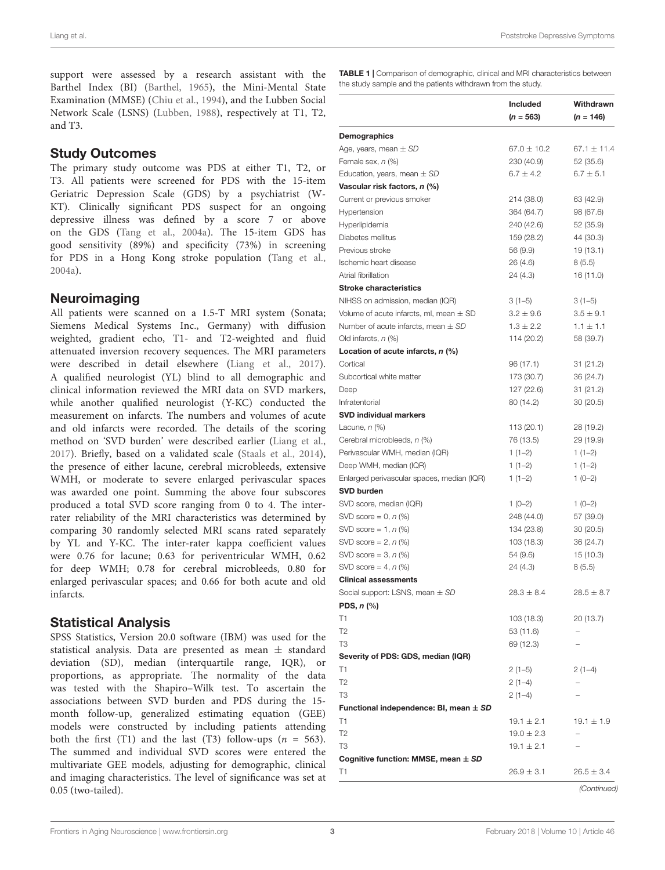support were assessed by a research assistant with the Barthel Index (BI) [\(Barthel,](#page-8-6) [1965\)](#page-8-6), the Mini-Mental State Examination (MMSE) [\(Chiu et al.,](#page-8-7) [1994\)](#page-8-7), and the Lubben Social Network Scale (LSNS) [\(Lubben,](#page-8-8) [1988\)](#page-8-8), respectively at T1, T2, and T3.

#### Study Outcomes

The primary study outcome was PDS at either T1, T2, or T3. All patients were screened for PDS with the 15-item Geriatric Depression Scale (GDS) by a psychiatrist (W-KT). Clinically significant PDS suspect for an ongoing depressive illness was defined by a score 7 or above on the GDS [\(Tang et al.,](#page-9-8) [2004a\)](#page-9-8). The 15-item GDS has good sensitivity (89%) and specificity (73%) in screening for PDS in a Hong Kong stroke population [\(Tang et al.,](#page-9-8) [2004a\)](#page-9-8).

### **Neuroimaging**

All patients were scanned on a 1.5-T MRI system (Sonata; Siemens Medical Systems Inc., Germany) with diffusion weighted, gradient echo, T1- and T2-weighted and fluid attenuated inversion recovery sequences. The MRI parameters were described in detail elsewhere [\(Liang et al.,](#page-8-3) [2017\)](#page-8-3). A qualified neurologist (YL) blind to all demographic and clinical information reviewed the MRI data on SVD markers, while another qualified neurologist (Y-KC) conducted the measurement on infarcts. The numbers and volumes of acute and old infarcts were recorded. The details of the scoring method on 'SVD burden' were described earlier [\(Liang et al.,](#page-8-3) [2017\)](#page-8-3). Briefly, based on a validated scale [\(Staals et al.,](#page-9-4) [2014\)](#page-9-4), the presence of either lacune, cerebral microbleeds, extensive WMH, or moderate to severe enlarged perivascular spaces was awarded one point. Summing the above four subscores produced a total SVD score ranging from 0 to 4. The interrater reliability of the MRI characteristics was determined by comparing 30 randomly selected MRI scans rated separately by YL and Y-KC. The inter-rater kappa coefficient values were 0.76 for lacune; 0.63 for periventricular WMH, 0.62 for deep WMH; 0.78 for cerebral microbleeds, 0.80 for enlarged perivascular spaces; and 0.66 for both acute and old infarcts.

### Statistical Analysis

SPSS Statistics, Version 20.0 software (IBM) was used for the statistical analysis. Data are presented as mean  $\pm$  standard deviation (SD), median (interquartile range, IQR), or proportions, as appropriate. The normality of the data was tested with the Shapiro–Wilk test. To ascertain the associations between SVD burden and PDS during the 15 month follow-up, generalized estimating equation (GEE) models were constructed by including patients attending both the first (T1) and the last (T3) follow-ups  $(n = 563)$ . The summed and individual SVD scores were entered the multivariate GEE models, adjusting for demographic, clinical and imaging characteristics. The level of significance was set at 0.05 (two-tailed).

<span id="page-5-0"></span>TABLE 1 | Comparison of demographic, clinical and MRI characteristics between the study sample and the patients withdrawn from the study.

|                                                  | <b>Included</b><br>$(n = 563)$ | Withdrawn<br>$(n = 146)$ |
|--------------------------------------------------|--------------------------------|--------------------------|
| Demographics                                     |                                |                          |
| Age, years, mean $\pm$ SD                        | $67.0 \pm 10.2$                | $67.1 \pm 11.4$          |
| Female sex, $n$ $(\%)$                           | 230 (40.9)                     | 52 (35.6)                |
| Education, years, mean $\pm$ SD                  | $6.7 \pm 4.2$                  | $6.7 \pm 5.1$            |
| Vascular risk factors, n (%)                     |                                |                          |
| Current or previous smoker                       | 214 (38.0)                     | 63 (42.9)                |
| Hypertension                                     | 364 (64.7)                     | 98 (67.6)                |
| Hyperlipidemia                                   | 240 (42.6)                     | 52 (35.9)                |
| Diabetes mellitus                                | 159 (28.2)                     | 44 (30.3)                |
| Previous stroke                                  | 56 (9.9)                       | 19 (13.1)                |
| Ischemic heart disease                           | 26 (4.6)                       | 8(5.5)                   |
| Atrial fibrillation                              | 24 (4.3)                       | 16 (11.0)                |
| <b>Stroke characteristics</b>                    |                                |                          |
| NIHSS on admission, median (IQR)                 | $3(1-5)$                       | $3(1-5)$                 |
| Volume of acute infarcts, ml, mean $\pm$ SD      | $3.2 \pm 9.6$                  | $3.5 \pm 9.1$            |
| Number of acute infarcts, mean $\pm$ SD          | $1.3 \pm 2.2$                  | $1.1 \pm 1.1$            |
| Old infarcts, $n$ (%)                            | 114 (20.2)                     | 58 (39.7)                |
| Location of acute infarcts, n (%)                |                                |                          |
| Cortical                                         | 96 (17.1)                      | 31 (21.2)                |
| Subcortical white matter                         | 173 (30.7)                     | 36 (24.7)                |
| Deep                                             | 127 (22.6)                     | 31 (21.2)                |
| Infratentorial                                   | 80 (14.2)                      | 30(20.5)                 |
| <b>SVD individual markers</b>                    |                                |                          |
| Lacune, <i>n</i> (%)                             | 113 (20.1)                     | 28 (19.2)                |
| Cerebral microbleeds, n (%)                      | 76 (13.5)                      | 29 (19.9)                |
| Perivascular WMH, median (IQR)                   | $1(1-2)$                       | $1(1-2)$                 |
| Deep WMH, median (IQR)                           | $1(1-2)$                       | $1(1-2)$                 |
| Enlarged perivascular spaces, median (IQR)       | $1(1-2)$                       | $1(0-2)$                 |
| <b>SVD burden</b>                                |                                |                          |
| SVD score, median (IQR)                          | $1(0-2)$                       | $1(0-2)$                 |
| SVD score = $0, n$ (%)                           |                                |                          |
| SVD score = 1, $n$ (%)                           | 248 (44.0)<br>134 (23.8)       | 57 (39.0)<br>30(20.5)    |
|                                                  | 103 (18.3)                     |                          |
| SVD score = $2, n$ (%)<br>SVD score = $3, n$ (%) |                                | 36 (24.7)                |
|                                                  | 54 (9.6)                       | 15 (10.3)                |
| SVD score = 4, $n$ (%)                           | 24 (4.3)                       | 8(5.5)                   |
| <b>Clinical assessments</b>                      |                                |                          |
| Social support: LSNS, mean $\pm$ SD              | $28.3 \pm 8.4$                 | $28.5 \pm 8.7$           |
| PDS, $n$ (%)                                     |                                |                          |
| T1                                               | 103 (18.3)                     | 20 (13.7)                |
| T2                                               | 53 (11.6)                      |                          |
| T <sub>3</sub>                                   | 69 (12.3)                      |                          |
| Severity of PDS: GDS, median (IQR)               |                                |                          |
| T1                                               | $2(1-5)$                       | $2(1-4)$                 |
| T2                                               | $2(1-4)$                       |                          |
| T3                                               | $2(1-4)$                       |                          |
| Functional independence: BI, mean $\pm$ SD       |                                |                          |
| Τ1                                               | $19.1 \pm 2.1$                 | $19.1 \pm 1.9$           |
| T <sub>2</sub>                                   | $19.0 \pm 2.3$                 |                          |
| T3                                               | $19.1 \pm 2.1$                 |                          |
| Cognitive function: MMSE, mean $\pm$ SD          |                                |                          |
| T1                                               | $26.9 \pm 3.1$                 | $26.5 \pm 3.4$           |
|                                                  |                                | (Continued)              |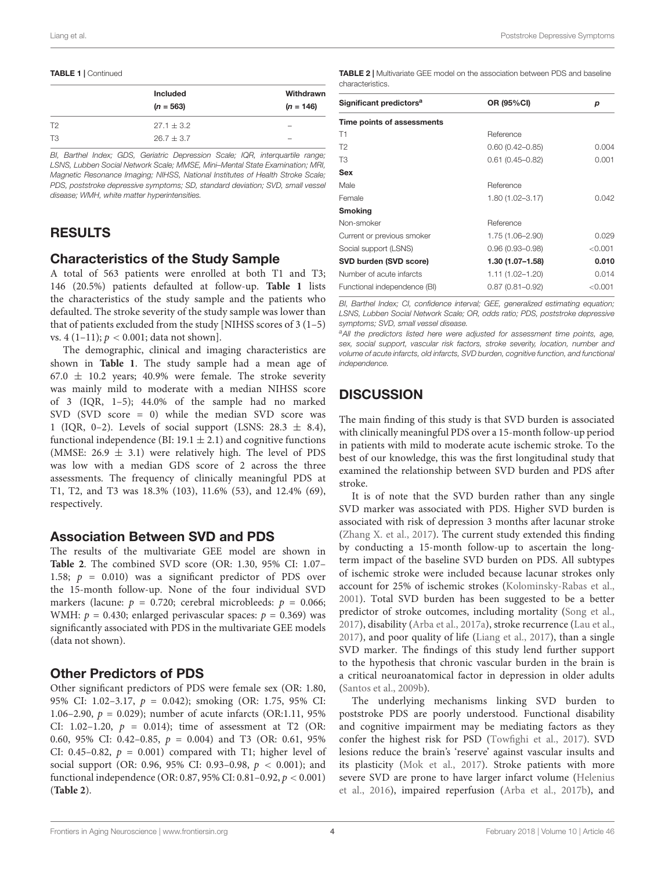#### TABLE 1 | Continued

|                | <b>Included</b><br>$(n = 563)$ | Withdrawn<br>$(n = 146)$ |
|----------------|--------------------------------|--------------------------|
| T <sub>2</sub> | $27.1 \pm 3.2$                 | $\overline{\phantom{a}}$ |
| T3             | $26.7 + 3.7$                   | $\overline{\phantom{a}}$ |

BI, Barthel Index; GDS, Geriatric Depression Scale; IQR, interquartile range; LSNS, Lubben Social Network Scale; MMSE, Mini–Mental State Examination; MRI, Magnetic Resonance Imaging; NIHSS, National Institutes of Health Stroke Scale; PDS, poststroke depressive symptoms; SD, standard deviation; SVD, small vessel disease; WMH, white matter hyperintensities.

#### RESULTS

#### Characteristics of the Study Sample

A total of 563 patients were enrolled at both T1 and T3; 146 (20.5%) patients defaulted at follow-up. **[Table 1](#page-5-0)** lists the characteristics of the study sample and the patients who defaulted. The stroke severity of the study sample was lower than that of patients excluded from the study [NIHSS scores of  $3(1-5)$ ] vs. 4 (1–11);  $p < 0.001$ ; data not shown].

The demographic, clinical and imaging characteristics are shown in **[Table 1](#page-5-0)**. The study sample had a mean age of 67.0  $\pm$  10.2 years; 40.9% were female. The stroke severity was mainly mild to moderate with a median NIHSS score of 3 (IQR, 1–5); 44.0% of the sample had no marked SVD (SVD score = 0) while the median SVD score was 1 (IQR, 0-2). Levels of social support (LSNS:  $28.3 \pm 8.4$ ), functional independence (BI: 19.1  $\pm$  2.1) and cognitive functions (MMSE:  $26.9 \pm 3.1$ ) were relatively high. The level of PDS was low with a median GDS score of 2 across the three assessments. The frequency of clinically meaningful PDS at T1, T2, and T3 was 18.3% (103), 11.6% (53), and 12.4% (69), respectively.

#### Association Between SVD and PDS

The results of the multivariate GEE model are shown in **[Table 2](#page-6-0)**. The combined SVD score (OR: 1.30, 95% CI: 1.07– 1.58;  $p = 0.010$ ) was a significant predictor of PDS over the 15-month follow-up. None of the four individual SVD markers (lacune:  $p = 0.720$ ; cerebral microbleeds:  $p = 0.066$ ; WMH:  $p = 0.430$ ; enlarged perivascular spaces:  $p = 0.369$ ) was significantly associated with PDS in the multivariate GEE models (data not shown).

#### Other Predictors of PDS

Other significant predictors of PDS were female sex (OR: 1.80, 95% CI: 1.02–3.17, p = 0.042); smoking (OR: 1.75, 95% CI: 1.06–2.90,  $p = 0.029$ ; number of acute infarcts (OR:1.11, 95%) CI: 1.02–1.20,  $p = 0.014$ ; time of assessment at T2 (OR: 0.60, 95% CI: 0.42-0.85,  $p = 0.004$ ) and T3 (OR: 0.61, 95% CI: 0.45–0.82,  $p = 0.001$ ) compared with T1; higher level of social support (OR: 0.96, 95% CI: 0.93–0.98,  $p < 0.001$ ); and functional independence (OR: 0.87, 95% CI: 0.81–0.92, p < 0.001) (**[Table 2](#page-6-0)**).

<span id="page-6-0"></span>TABLE 2 | Multivariate GEE model on the association between PDS and baseline characteristics.

| Significant predictors <sup>a</sup> | OR (95%CI)          | р       |
|-------------------------------------|---------------------|---------|
| Time points of assessments          |                     |         |
| T1                                  | Reference           |         |
| T <sub>2</sub>                      | $0.60(0.42 - 0.85)$ | 0.004   |
| T3                                  | $0.61(0.45 - 0.82)$ | 0.001   |
| Sex                                 |                     |         |
| Male                                | Reference           |         |
| Female                              | 1.80 (1.02-3.17)    | 0.042   |
| <b>Smoking</b>                      |                     |         |
| Non-smoker                          | Reference           |         |
| Current or previous smoker          | 1.75 (1.06-2.90)    | 0.029   |
| Social support (LSNS)               | $0.96(0.93 - 0.98)$ | < 0.001 |
| SVD burden (SVD score)              | 1.30 (1.07–1.58)    | 0.010   |
| Number of acute infarcts            | $1.11(1.02 - 1.20)$ | 0.014   |
| Functional independence (BI)        | $0.87(0.81 - 0.92)$ | < 0.001 |
|                                     |                     |         |

BI, Barthel Index; CI, confidence interval; GEE, generalized estimating equation; LSNS, Lubben Social Network Scale; OR, odds ratio; PDS, poststroke depressive symptoms; SVD, small vessel disease.

aAll the predictors listed here were adjusted for assessment time points, age, sex, social support, vascular risk factors, stroke severity, location, number and volume of acute infarcts, old infarcts, SVD burden, cognitive function, and functional independence.

## **DISCUSSION**

The main finding of this study is that SVD burden is associated with clinically meaningful PDS over a 15-month follow-up period in patients with mild to moderate acute ischemic stroke. To the best of our knowledge, this was the first longitudinal study that examined the relationship between SVD burden and PDS after stroke.

It is of note that the SVD burden rather than any single SVD marker was associated with PDS. Higher SVD burden is associated with risk of depression 3 months after lacunar stroke [\(Zhang X. et al.,](#page-9-6) [2017\)](#page-9-6). The current study extended this finding by conducting a 15-month follow-up to ascertain the longterm impact of the baseline SVD burden on PDS. All subtypes of ischemic stroke were included because lacunar strokes only account for 25% of ischemic strokes [\(Kolominsky-Rabas et al.,](#page-8-9) [2001\)](#page-8-9). Total SVD burden has been suggested to be a better predictor of stroke outcomes, including mortality [\(Song et al.,](#page-8-10) [2017\)](#page-8-10), disability [\(Arba et al.,](#page-8-1) [2017a\)](#page-8-1), stroke recurrence [\(Lau et al.,](#page-8-2) [2017\)](#page-8-2), and poor quality of life [\(Liang et al.,](#page-8-3) [2017\)](#page-8-3), than a single SVD marker. The findings of this study lend further support to the hypothesis that chronic vascular burden in the brain is a critical neuroanatomical factor in depression in older adults [\(Santos et al.,](#page-8-11) [2009b\)](#page-8-11).

The underlying mechanisms linking SVD burden to poststroke PDS are poorly understood. Functional disability and cognitive impairment may be mediating factors as they confer the highest risk for PSD [\(Towfighi et al.,](#page-9-0) [2017\)](#page-9-0). SVD lesions reduce the brain's 'reserve' against vascular insults and its plasticity [\(Mok et al.,](#page-8-12) [2017\)](#page-8-12). Stroke patients with more severe SVD are prone to have larger infarct volume [\(Helenius](#page-8-13) [et al.,](#page-8-13) [2016\)](#page-8-13), impaired reperfusion [\(Arba et al.,](#page-8-14) [2017b\)](#page-8-14), and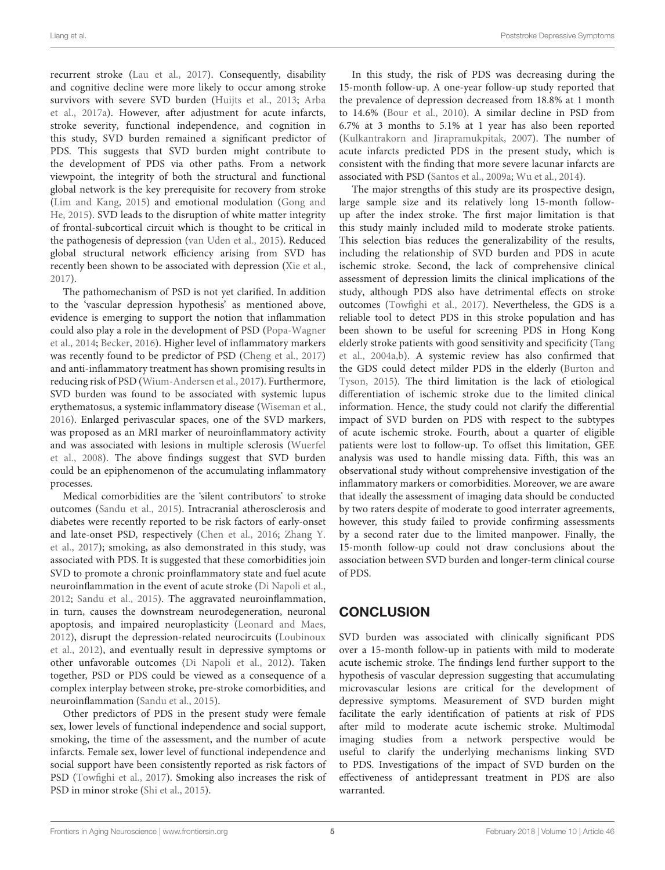recurrent stroke [\(Lau et al.,](#page-8-2) [2017\)](#page-8-2). Consequently, disability and cognitive decline were more likely to occur among stroke survivors with severe SVD burden [\(Huijts et al.,](#page-8-15) [2013;](#page-8-15) [Arba](#page-8-1) [et al.,](#page-8-1) [2017a\)](#page-8-1). However, after adjustment for acute infarcts, stroke severity, functional independence, and cognition in this study, SVD burden remained a significant predictor of PDS. This suggests that SVD burden might contribute to the development of PDS via other paths. From a network viewpoint, the integrity of both the structural and functional global network is the key prerequisite for recovery from stroke [\(Lim and Kang,](#page-8-16) [2015\)](#page-8-16) and emotional modulation [\(Gong and](#page-8-17) [He,](#page-8-17) [2015\)](#page-8-17). SVD leads to the disruption of white matter integrity of frontal-subcortical circuit which is thought to be critical in the pathogenesis of depression [\(van Uden et al.,](#page-9-9) [2015\)](#page-9-9). Reduced global structural network efficiency arising from SVD has recently been shown to be associated with depression [\(Xie et al.,](#page-9-10) [2017\)](#page-9-10).

The pathomechanism of PSD is not yet clarified. In addition to the 'vascular depression hypothesis' as mentioned above, evidence is emerging to support the notion that inflammation could also play a role in the development of PSD [\(Popa-Wagner](#page-8-18) [et al.,](#page-8-18) [2014;](#page-8-18) [Becker,](#page-8-19) [2016\)](#page-8-19). Higher level of inflammatory markers was recently found to be predictor of PSD [\(Cheng et al.,](#page-8-20) [2017\)](#page-8-20) and anti-inflammatory treatment has shown promising results in reducing risk of PSD [\(Wium-Andersen et al.,](#page-9-11) [2017\)](#page-9-11). Furthermore, SVD burden was found to be associated with systemic lupus erythematosus, a systemic inflammatory disease [\(Wiseman et al.,](#page-9-12) [2016\)](#page-9-12). Enlarged perivascular spaces, one of the SVD markers, was proposed as an MRI marker of neuroinflammatory activity and was associated with lesions in multiple sclerosis [\(Wuerfel](#page-9-13) [et al.,](#page-9-13) [2008\)](#page-9-13). The above findings suggest that SVD burden could be an epiphenomenon of the accumulating inflammatory processes.

Medical comorbidities are the 'silent contributors' to stroke outcomes [\(Sandu et al.,](#page-8-21) [2015\)](#page-8-21). Intracranial atherosclerosis and diabetes were recently reported to be risk factors of early-onset and late-onset PSD, respectively [\(Chen et al.,](#page-8-22) [2016;](#page-8-22) [Zhang Y.](#page-9-14) [et al.,](#page-9-14) [2017\)](#page-9-14); smoking, as also demonstrated in this study, was associated with PDS. It is suggested that these comorbidities join SVD to promote a chronic proinflammatory state and fuel acute neuroinflammation in the event of acute stroke [\(Di Napoli et al.,](#page-8-23) [2012;](#page-8-23) [Sandu et al.,](#page-8-21) [2015\)](#page-8-21). The aggravated neuroinflammation, in turn, causes the downstream neurodegeneration, neuronal apoptosis, and impaired neuroplasticity [\(Leonard and Maes,](#page-8-24) [2012\)](#page-8-24), disrupt the depression-related neurocircuits [\(Loubinoux](#page-8-25) [et al.,](#page-8-25) [2012\)](#page-8-25), and eventually result in depressive symptoms or other unfavorable outcomes [\(Di Napoli et al.,](#page-8-23) [2012\)](#page-8-23). Taken together, PSD or PDS could be viewed as a consequence of a complex interplay between stroke, pre-stroke comorbidities, and neuroinflammation [\(Sandu et al.,](#page-8-21) [2015\)](#page-8-21).

Other predictors of PDS in the present study were female sex, lower levels of functional independence and social support, smoking, the time of the assessment, and the number of acute infarcts. Female sex, lower level of functional independence and social support have been consistently reported as risk factors of PSD [\(Towfighi et al.,](#page-9-0) [2017\)](#page-9-0). Smoking also increases the risk of PSD in minor stroke [\(Shi et al.,](#page-8-26) [2015\)](#page-8-26).

In this study, the risk of PDS was decreasing during the 15-month follow-up. A one-year follow-up study reported that the prevalence of depression decreased from 18.8% at 1 month to 14.6% [\(Bour et al.,](#page-8-27) [2010\)](#page-8-27). A similar decline in PSD from 6.7% at 3 months to 5.1% at 1 year has also been reported [\(Kulkantrakorn and Jirapramukpitak,](#page-8-28) [2007\)](#page-8-28). The number of acute infarcts predicted PDS in the present study, which is consistent with the finding that more severe lacunar infarcts are associated with PSD [\(Santos et al.,](#page-8-4) [2009a;](#page-8-4) [Wu et al.,](#page-9-15) [2014\)](#page-9-15).

The major strengths of this study are its prospective design, large sample size and its relatively long 15-month followup after the index stroke. The first major limitation is that this study mainly included mild to moderate stroke patients. This selection bias reduces the generalizability of the results, including the relationship of SVD burden and PDS in acute ischemic stroke. Second, the lack of comprehensive clinical assessment of depression limits the clinical implications of the study, although PDS also have detrimental effects on stroke outcomes [\(Towfighi et al.,](#page-9-0) [2017\)](#page-9-0). Nevertheless, the GDS is a reliable tool to detect PDS in this stroke population and has been shown to be useful for screening PDS in Hong Kong elderly stroke patients with good sensitivity and specificity [\(Tang](#page-9-8) [et al.,](#page-9-8) [2004a](#page-9-8)[,b\)](#page-9-16). A systemic review has also confirmed that the GDS could detect milder PDS in the elderly [\(Burton and](#page-8-29) [Tyson,](#page-8-29) [2015\)](#page-8-29). The third limitation is the lack of etiological differentiation of ischemic stroke due to the limited clinical information. Hence, the study could not clarify the differential impact of SVD burden on PDS with respect to the subtypes of acute ischemic stroke. Fourth, about a quarter of eligible patients were lost to follow-up. To offset this limitation, GEE analysis was used to handle missing data. Fifth, this was an observational study without comprehensive investigation of the inflammatory markers or comorbidities. Moreover, we are aware that ideally the assessment of imaging data should be conducted by two raters despite of moderate to good interrater agreements, however, this study failed to provide confirming assessments by a second rater due to the limited manpower. Finally, the 15-month follow-up could not draw conclusions about the association between SVD burden and longer-term clinical course of PDS.

## **CONCLUSION**

SVD burden was associated with clinically significant PDS over a 15-month follow-up in patients with mild to moderate acute ischemic stroke. The findings lend further support to the hypothesis of vascular depression suggesting that accumulating microvascular lesions are critical for the development of depressive symptoms. Measurement of SVD burden might facilitate the early identification of patients at risk of PDS after mild to moderate acute ischemic stroke. Multimodal imaging studies from a network perspective would be useful to clarify the underlying mechanisms linking SVD to PDS. Investigations of the impact of SVD burden on the effectiveness of antidepressant treatment in PDS are also warranted.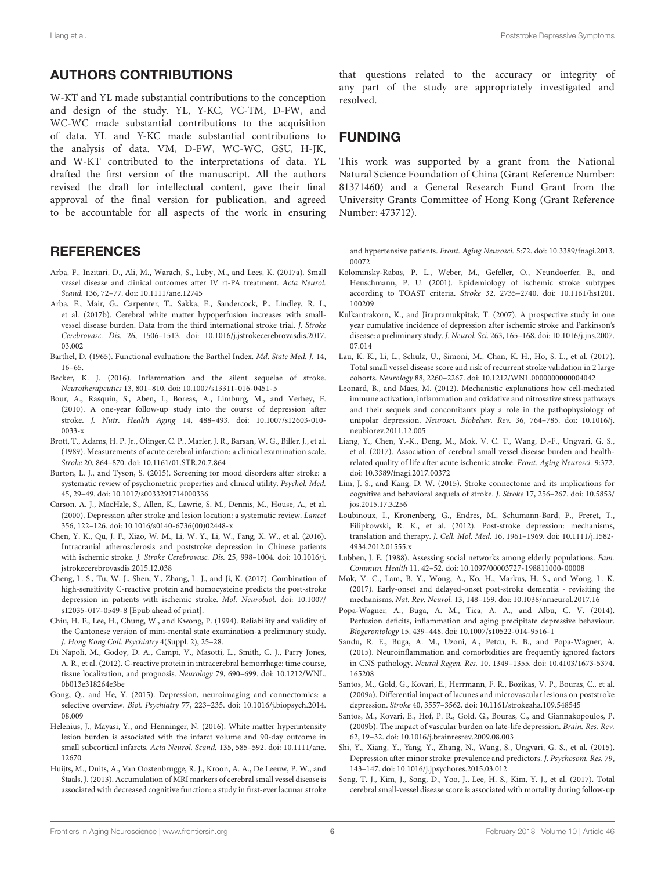#### AUTHORS CONTRIBUTIONS

W-KT and YL made substantial contributions to the conception and design of the study. YL, Y-KC, VC-TM, D-FW, and WC-WC made substantial contributions to the acquisition of data. YL and Y-KC made substantial contributions to the analysis of data. VM, D-FW, WC-WC, GSU, H-JK, and W-KT contributed to the interpretations of data. YL drafted the first version of the manuscript. All the authors revised the draft for intellectual content, gave their final approval of the final version for publication, and agreed to be accountable for all aspects of the work in ensuring

#### **REFERENCES**

- <span id="page-8-1"></span>Arba, F., Inzitari, D., Ali, M., Warach, S., Luby, M., and Lees, K. (2017a). Small vessel disease and clinical outcomes after IV rt-PA treatment. Acta Neurol. Scand. 136, 72–77. [doi: 10.1111/ane.12745](https://doi.org/10.1111/ane.12745)
- <span id="page-8-14"></span>Arba, F., Mair, G., Carpenter, T., Sakka, E., Sandercock, P., Lindley, R. I., et al. (2017b). Cerebral white matter hypoperfusion increases with smallvessel disease burden. Data from the third international stroke trial. J. Stroke Cerebrovasc. Dis. 26, 1506–1513. [doi: 10.1016/j.jstrokecerebrovasdis.2017.](https://doi.org/10.1016/j.jstrokecerebrovasdis.2017.03.002) [03.002](https://doi.org/10.1016/j.jstrokecerebrovasdis.2017.03.002)
- <span id="page-8-6"></span>Barthel, D. (1965). Functional evaluation: the Barthel Index. Md. State Med. J. 14, 16–65.
- <span id="page-8-19"></span>Becker, K. J. (2016). Inflammation and the silent sequelae of stroke. Neurotherapeutics 13, 801–810. [doi: 10.1007/s13311-016-0451-5](https://doi.org/10.1007/s13311-016-0451-5)
- <span id="page-8-27"></span>Bour, A., Rasquin, S., Aben, I., Boreas, A., Limburg, M., and Verhey, F. (2010). A one-year follow-up study into the course of depression after stroke. J. Nutr. Health Aging 14, 488–493. [doi: 10.1007/s12603-010-](https://doi.org/10.1007/s12603-010-0033-x) [0033-x](https://doi.org/10.1007/s12603-010-0033-x)
- <span id="page-8-5"></span>Brott, T., Adams, H. P. Jr., Olinger, C. P., Marler, J. R., Barsan, W. G., Biller, J., et al. (1989). Measurements of acute cerebral infarction: a clinical examination scale. Stroke 20, 864–870. [doi: 10.1161/01.STR.20.7.864](https://doi.org/10.1161/01.STR.20.7.864)
- <span id="page-8-29"></span>Burton, L. J., and Tyson, S. (2015). Screening for mood disorders after stroke: a systematic review of psychometric properties and clinical utility. Psychol. Med. 45, 29–49. [doi: 10.1017/s0033291714000336](https://doi.org/10.1017/s0033291714000336)
- <span id="page-8-0"></span>Carson, A. J., MacHale, S., Allen, K., Lawrie, S. M., Dennis, M., House, A., et al. (2000). Depression after stroke and lesion location: a systematic review. Lancet 356, 122–126. [doi: 10.1016/s0140-6736\(00\)02448-x](https://doi.org/10.1016/s0140-6736(00)02448-x)
- <span id="page-8-22"></span>Chen, Y. K., Qu, J. F., Xiao, W. M., Li, W. Y., Li, W., Fang, X. W., et al. (2016). Intracranial atherosclerosis and poststroke depression in Chinese patients with ischemic stroke. J. Stroke Cerebrovasc. Dis. 25, 998–1004. [doi: 10.1016/j.](https://doi.org/10.1016/j.jstrokecerebrovasdis.2015.12.038) [jstrokecerebrovasdis.2015.12.038](https://doi.org/10.1016/j.jstrokecerebrovasdis.2015.12.038)
- <span id="page-8-20"></span>Cheng, L. S., Tu, W. J., Shen, Y., Zhang, L. J., and Ji, K. (2017). Combination of high-sensitivity C-reactive protein and homocysteine predicts the post-stroke depression in patients with ischemic stroke. Mol. Neurobiol. [doi: 10.1007/](https://doi.org/10.1007/s12035-017-0549-8) [s12035-017-0549-8](https://doi.org/10.1007/s12035-017-0549-8) [Epub ahead of print].
- <span id="page-8-7"></span>Chiu, H. F., Lee, H., Chung, W., and Kwong, P. (1994). Reliability and validity of the Cantonese version of mini-mental state examination-a preliminary study. J. Hong Kong Coll. Psychiatry 4(Suppl. 2), 25–28.
- <span id="page-8-23"></span>Di Napoli, M., Godoy, D. A., Campi, V., Masotti, L., Smith, C. J., Parry Jones, A. R., et al. (2012). C-reactive protein in intracerebral hemorrhage: time course, tissue localization, and prognosis. Neurology 79, 690–699. [doi: 10.1212/WNL.](https://doi.org/10.1212/WNL.0b013e318264e3be) [0b013e318264e3be](https://doi.org/10.1212/WNL.0b013e318264e3be)
- <span id="page-8-17"></span>Gong, Q., and He, Y. (2015). Depression, neuroimaging and connectomics: a selective overview. Biol. Psychiatry 77, 223–235. [doi: 10.1016/j.biopsych.2014.](https://doi.org/10.1016/j.biopsych.2014.08.009) [08.009](https://doi.org/10.1016/j.biopsych.2014.08.009)
- <span id="page-8-13"></span>Helenius, J., Mayasi, Y., and Henninger, N. (2016). White matter hyperintensity lesion burden is associated with the infarct volume and 90-day outcome in small subcortical infarcts. Acta Neurol. Scand. 135, 585–592. [doi: 10.1111/ane.](https://doi.org/10.1111/ane.12670) [12670](https://doi.org/10.1111/ane.12670)
- <span id="page-8-15"></span>Huijts, M., Duits, A., Van Oostenbrugge, R. J., Kroon, A. A., De Leeuw, P. W., and Staals, J. (2013). Accumulation of MRI markers of cerebral small vessel disease is associated with decreased cognitive function: a study in first-ever lacunar stroke

that questions related to the accuracy or integrity of any part of the study are appropriately investigated and resolved.

#### FUNDING

This work was supported by a grant from the National Natural Science Foundation of China (Grant Reference Number: 81371460) and a General Research Fund Grant from the University Grants Committee of Hong Kong (Grant Reference Number: 473712).

and hypertensive patients. Front. Aging Neurosci. 5:72. [doi: 10.3389/fnagi.2013.](https://doi.org/10.3389/fnagi.2013.00072) [00072](https://doi.org/10.3389/fnagi.2013.00072)

- <span id="page-8-9"></span>Kolominsky-Rabas, P. L., Weber, M., Gefeller, O., Neundoerfer, B., and Heuschmann, P. U. (2001). Epidemiology of ischemic stroke subtypes according to TOAST criteria. Stroke 32, 2735–2740. [doi: 10.1161/hs1201.](https://doi.org/10.1161/hs1201.100209) [100209](https://doi.org/10.1161/hs1201.100209)
- <span id="page-8-28"></span>Kulkantrakorn, K., and Jirapramukpitak, T. (2007). A prospective study in one year cumulative incidence of depression after ischemic stroke and Parkinson's disease: a preliminary study. J. Neurol. Sci. 263, 165–168. [doi: 10.1016/j.jns.2007.](https://doi.org/10.1016/j.jns.2007.07.014) [07.014](https://doi.org/10.1016/j.jns.2007.07.014)
- <span id="page-8-2"></span>Lau, K. K., Li, L., Schulz, U., Simoni, M., Chan, K. H., Ho, S. L., et al. (2017). Total small vessel disease score and risk of recurrent stroke validation in 2 large cohorts. Neurology 88, 2260–2267. [doi: 10.1212/WNL.0000000000004042](https://doi.org/10.1212/WNL.0000000000004042)
- <span id="page-8-24"></span>Leonard, B., and Maes, M. (2012). Mechanistic explanations how cell-mediated immune activation, inflammation and oxidative and nitrosative stress pathways and their sequels and concomitants play a role in the pathophysiology of unipolar depression. Neurosci. Biobehav. Rev. 36, 764–785. [doi: 10.1016/j.](https://doi.org/10.1016/j.neubiorev.2011.12.005) [neubiorev.2011.12.005](https://doi.org/10.1016/j.neubiorev.2011.12.005)
- <span id="page-8-3"></span>Liang, Y., Chen, Y.-K., Deng, M., Mok, V. C. T., Wang, D.-F., Ungvari, G. S., et al. (2017). Association of cerebral small vessel disease burden and healthrelated quality of life after acute ischemic stroke. Front. Aging Neurosci. 9:372. [doi: 10.3389/fnagi.2017.00372](https://doi.org/10.3389/fnagi.2017.00372)
- <span id="page-8-16"></span>Lim, J. S., and Kang, D. W. (2015). Stroke connectome and its implications for cognitive and behavioral sequela of stroke. J. Stroke 17, 256–267. [doi: 10.5853/](https://doi.org/10.5853/jos.2015.17.3.256) [jos.2015.17.3.256](https://doi.org/10.5853/jos.2015.17.3.256)
- <span id="page-8-25"></span>Loubinoux, I., Kronenberg, G., Endres, M., Schumann-Bard, P., Freret, T., Filipkowski, R. K., et al. (2012). Post-stroke depression: mechanisms, translation and therapy. J. Cell. Mol. Med. 16, 1961–1969. [doi: 10.1111/j.1582-](https://doi.org/10.1111/j.1582-4934.2012.01555.x) [4934.2012.01555.x](https://doi.org/10.1111/j.1582-4934.2012.01555.x)
- <span id="page-8-8"></span>Lubben, J. E. (1988). Assessing social networks among elderly populations. Fam. Commun. Health 11, 42–52. [doi: 10.1097/00003727-198811000-00008](https://doi.org/10.1097/00003727-198811000-00008)
- <span id="page-8-12"></span>Mok, V. C., Lam, B. Y., Wong, A., Ko, H., Markus, H. S., and Wong, L. K. (2017). Early-onset and delayed-onset post-stroke dementia - revisiting the mechanisms. Nat. Rev. Neurol. 13, 148–159. [doi: 10.1038/nrneurol.2017.16](https://doi.org/10.1038/nrneurol.2017.16)
- <span id="page-8-18"></span>Popa-Wagner, A., Buga, A. M., Tica, A. A., and Albu, C. V. (2014). Perfusion deficits, inflammation and aging precipitate depressive behaviour. Biogerontology 15, 439–448. [doi: 10.1007/s10522-014-9516-1](https://doi.org/10.1007/s10522-014-9516-1)
- <span id="page-8-21"></span>Sandu, R. E., Buga, A. M., Uzoni, A., Petcu, E. B., and Popa-Wagner, A. (2015). Neuroinflammation and comorbidities are frequently ignored factors in CNS pathology. Neural Regen. Res. 10, 1349–1355. [doi: 10.4103/1673-5374.](https://doi.org/10.4103/1673-5374.165208) [165208](https://doi.org/10.4103/1673-5374.165208)
- <span id="page-8-4"></span>Santos, M., Gold, G., Kovari, E., Herrmann, F. R., Bozikas, V. P., Bouras, C., et al. (2009a). Differential impact of lacunes and microvascular lesions on poststroke depression. Stroke 40, 3557–3562. [doi: 10.1161/strokeaha.109.548545](https://doi.org/10.1161/strokeaha.109.548545)
- <span id="page-8-11"></span>Santos, M., Kovari, E., Hof, P. R., Gold, G., Bouras, C., and Giannakopoulos, P. (2009b). The impact of vascular burden on late-life depression. Brain. Res. Rev. 62, 19–32. [doi: 10.1016/j.brainresrev.2009.08.003](https://doi.org/10.1016/j.brainresrev.2009.08.003)
- <span id="page-8-26"></span>Shi, Y., Xiang, Y., Yang, Y., Zhang, N., Wang, S., Ungvari, G. S., et al. (2015). Depression after minor stroke: prevalence and predictors. J. Psychosom. Res. 79, 143–147. [doi: 10.1016/j.jpsychores.2015.03.012](https://doi.org/10.1016/j.jpsychores.2015.03.012)
- <span id="page-8-10"></span>Song, T. J., Kim, J., Song, D., Yoo, J., Lee, H. S., Kim, Y. J., et al. (2017). Total cerebral small-vessel disease score is associated with mortality during follow-up